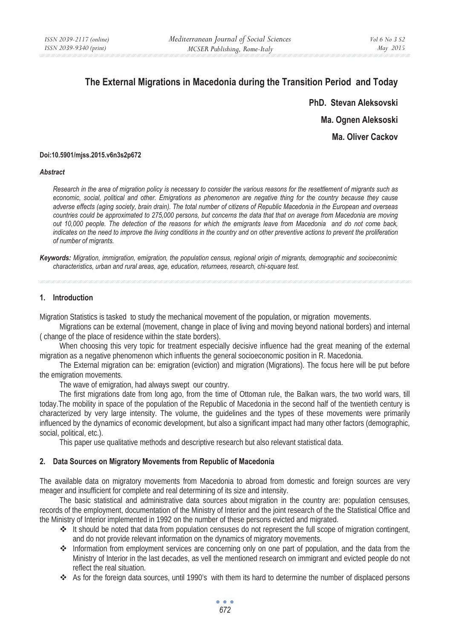# **The External Migrations in Macedonia during the Transition Period and Today**

**PhD. Stevan Aleksovski Ma. Ognen Aleksoski Ma. Oliver Cackov** 

### **Doi:10.5901/mjss.2015.v6n3s2p672**

### *Abstract*

*Research in the area of migration policy is necessary to consider the various reasons for the resettlement of migrants such as economic, social, political and other. Emigrations as phenomenon are negative thing for the country because they cause adverse effects (aging society, brain drain). The total number of citizens of Republic Macedonia in the European and overseas countries could be approximated to 275,000 persons, but concerns the data that that on average from Macedonia are moving out 10,000 people. The detection of the reasons for which the emigrants leave from Macedonia and do not come back, indicates on the need to improve the living conditions in the country and on other preventive actions to prevent the proliferation of number of migrants.* 

*Keywords: Migration, immigration, emigration, the population census, regional origin of migrants, demographic and socioeconimic characteristics, urban and rural areas, age, education, returnees, research, chi-square test.* 

### **1. Introduction**

Migration Statistics is tasked to study the mechanical movement of the population, or migration movements.

Migrations can be external (movement, change in place of living and moving beyond national borders) and internal ( change of the place of residence within the state borders).

When choosing this very topic for treatment especially decisive influence had the great meaning of the external migration as a negative phenomenon which influents the general socioeconomic position in R. Macedonia.

The External migration can be: emigration (eviction) and migration (Migrations). The focus here will be put before the emigration movements.

The wave of emigration, had always swept our country.

The first migrations date from long ago, from the time of Ottoman rule, the Balkan wars, the two world wars, till today.The mobility in space of the population of the Republic of Macedonia in the second half of the twentieth century is characterized by very large intensity. The volume, the guidelines and the types of these movements were primarily influenced by the dynamics of economic development, but also a significant impact had many other factors (demographic, social, political, etc.).

This paper use qualitative methods and descriptive research but also relevant statistical data.

### **2. Data Sources on Migratory Movements from Republic of Macedonia**

The available data on migratory movements from Macedonia to abroad from domestic and foreign sources are very meager and insufficient for complete and real determining of its size and intensity.

The basic statistical and administrative data sources about migration in the country are: population censuses, records of the employment, documentation of the Ministry of Interior and the joint research of the the Statistical Office and the Ministry of Interior implemented in 1992 on the number of these persons evicted and migrated.

- It should be noted that data from population censuses do not represent the full scope of migration contingent, and do not provide relevant information on the dynamics of migratory movements.
- ◆ Information from employment services are concerning only on one part of population, and the data from the Ministry of Interior in the last decades, as vell the mentioned research on immigrant and evicted people do not reflect the real situation.
- As for the foreign data sources, until 1990's with them its hard to determine the number of displaced persons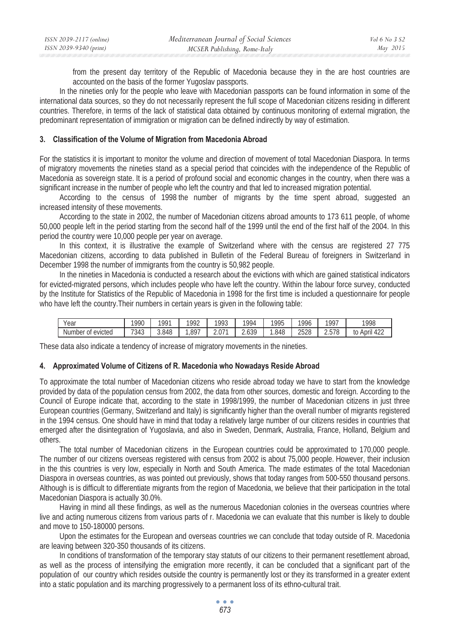| ISSN 2039-2117 (online) | Mediterranean Journal of Social Sciences | Vol 6 No 3 S2 |
|-------------------------|------------------------------------------|---------------|
| ISSN 2039-9340 (print)  | MCSER Publishing, Rome-Italy             | May 2015      |

from the present day territory of the Republic of Macedonia because they in the are host countries are accounted on the basis of the former Yugoslav passports.

In the nineties only for the people who leave with Macedonian passports can be found information in some of the international data sources, so they do not necessarily represent the full scope of Macedonian citizens residing in different countries. Therefore, in terms of the lack of statistical data obtained by continuous monitoring of external migration, the predominant representation of immigration or migration can be defined indirectly by way of estimation.

### **3. Classification of the Volume of Migration from Macedonia Abroad**

For the statistics it is important to monitor the volume and direction of movement of total Macedonian Diaspora. In terms of migratory movements the nineties stand as a special period that coincides with the independence of the Republic of Macedonia as sovereign state. It is a period of profound social and economic changes in the country, when there was a significant increase in the number of people who left the country and that led to increased migration potential.

According to the census of 1998 the number of migrants by the time spent abroad, suggested an increased intensity of these movements.

According to the state in 2002, the number of Macedonian citizens abroad amounts to 173 611 people, of whome 50,000 people left in the period starting from the second half of the 1999 until the end of the first half of the 2004. In this period the country were 10,000 people per year on average.

In this context, it is illustrative the example of Switzerland where with the census are registered 27 775 Macedonian citizens, according to data published in Bulletin of the Federal Bureau of foreigners in Switzerland in December 1998 the number of immigrants from the country is 50,982 people.

In the nineties in Macedonia is conducted a research about the evictions with which are gained statistical indicators for evicted-migrated persons, which includes people who have left the country. Within the labour force survey, conducted by the Institute for Statistics of the Republic of Macedonia in 1998 for the first time is included a questionnaire for people who have left the country.Their numbers in certain years is given in the following table:

| Year                    | 1990 | 1991  | 1002 | $100^\circ$          | 1001    | 1995 | 1996 | 1007  | 1998                      |
|-------------------------|------|-------|------|----------------------|---------|------|------|-------|---------------------------|
| Number<br>evicted<br>0ľ | 7343 | 3.848 | .897 | $\sim$ $\sim$<br>Z.U | 2.630 - | .848 | 2528 | 2.578 | <br>April<br>t0<br>ے 4⊬ ` |

These data also indicate a tendency of increase of migratory movements in the nineties.

### **4. Approximated Volume of Citizens of R. Macedonia who Nowadays Reside Abroad**

To approximate the total number of Macedonian citizens who reside abroad today we have to start from the knowledge provided by data of the population census from 2002, the data from other sources, domestic and foreign. According to the Council of Europe indicate that, according to the state in 1998/1999, the number of Macedonian citizens in just three European countries (Germany, Switzerland and Italy) is significantly higher than the overall number of migrants registered in the 1994 census. One should have in mind that today a relatively large number of our citizens resides in countries that emerged after the disintegration of Yugoslavia, and also in Sweden, Denmark, Australia, France, Holland, Belgium and others.

The total number of Macedonian citizens in the European countries could be approximated to 170,000 people. The number of our citizens overseas registered with census from 2002 is about 75,000 people. However, their inclusion in the this countries is very low, especially in North and South America. The made estimates of the total Macedonian Diaspora in overseas countries, as was pointed out previously, shows that today ranges from 500-550 thousand persons. Although is is difficult to differentiate migrants from the region of Macedonia, we believe that their participation in the total Macedonian Diaspora is actually 30.0%.

Having in mind all these findings, as well as the numerous Macedonian colonies in the overseas countries where live and acting numerous citizens from various parts of r. Macedonia we can evaluate that this number is likely to double and move to 150-180000 persons.

Upon the estimates for the European and overseas countries we can conclude that today outside of R. Macedonia are leaving between 320-350 thousands of its citizens.

In conditions of transformation of the temporary stay statuts of our citizens to their permanent resettlement abroad, as well as the process of intensifying the emigration more recently, it can be concluded that a significant part of the population of our country which resides outside the country is permanently lost or they its transformed in a greater extent into a static population and its marching progressively to a permanent loss of its ethno-cultural trait.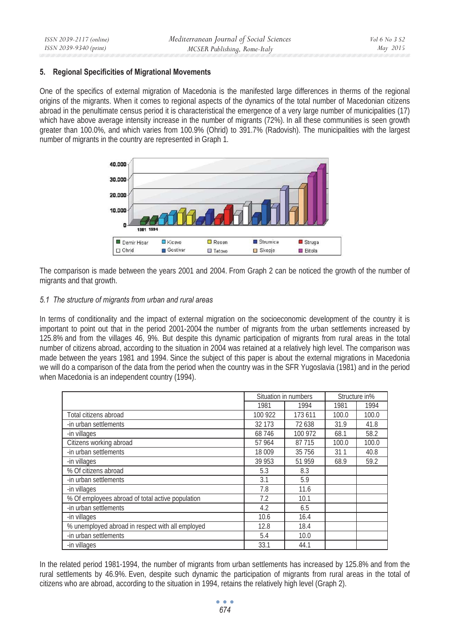### **5. Regional Specificities of Migrational Movements**

One of the specifics of external migration of Macedonia is the manifested large differences in therms of the regional origins of the migrants. When it comes to regional aspects of the dynamics of the total number of Macedonian citizens abroad in the penultimate census period it is characteristical the emergence of a very large number of municipalities (17) which have above average intensity increase in the number of migrants (72%). In all these communities is seen growth greater than 100.0%, and which varies from 100.9% (Ohrid) to 391.7% (Radovish). The municipalities with the largest number of migrants in the country are represented in Graph 1.



The comparison is made between the years 2001 and 2004. From Graph 2 can be noticed the growth of the number of migrants and that growth.

### *5.1 The structure of migrants from urban and rural areas*

In terms of conditionality and the impact of external migration on the socioeconomic development of the country it is important to point out that in the period 2001-2004 the number of migrants from the urban settlements increased by 125.8% and from the villages 46, 9%. But despite this dynamic participation of migrants from rural areas in the total number of citizens abroad, according to the situation in 2004 was retained at a relatively high level. The comparison was made between the years 1981 and 1994. Since the subject of this paper is about the external migrations in Macedonia we will do a comparison of the data from the period when the country was in the SFR Yugoslavia (1981) and in the period when Macedonia is an independent country (1994).

|                                                  |         | Situation in numbers |       | Structure in% |
|--------------------------------------------------|---------|----------------------|-------|---------------|
|                                                  | 1981    | 1994                 | 1981  | 1994          |
| Total citizens abroad                            | 100 922 | 173 611              | 100.0 | 100.0         |
| -in urban settlements                            | 32 173  | 72 638               | 31.9  | 41.8          |
| -in villages                                     | 68 746  | 100 972              | 68.1  | 58.2          |
| Citizens working abroad                          | 57 964  | 87 715               | 100.0 | 100.0         |
| -in urban settlements                            | 18 009  | 35 7 5 6             | 311   | 40.8          |
| -in villages                                     | 39 953  | 51 959               | 68.9  | 59.2          |
| % Of citizens abroad                             | 5.3     | 8.3                  |       |               |
| -in urban settlements                            | 3.1     | 5.9                  |       |               |
| -in villages                                     | 7.8     | 11.6                 |       |               |
| % Of employees abroad of total active population | 7.2     | 10.1                 |       |               |
| -in urban settlements                            | 4.2     | 6.5                  |       |               |
| -in villages                                     | 10.6    | 16.4                 |       |               |
| % unemployed abroad in respect with all employed | 12.8    | 18.4                 |       |               |
| -in urban settlements                            | 5.4     | 10.0                 |       |               |
| -in villages                                     | 33.1    | 44.1                 |       |               |

In the related period 1981-1994, the number of migrants from urban settlements has increased by 125.8% and from the rural settlements by 46.9%. Even, despite such dynamic the participation of migrants from rural areas in the total of citizens who are abroad, according to the situation in 1994, retains the relatively high level (Graph 2).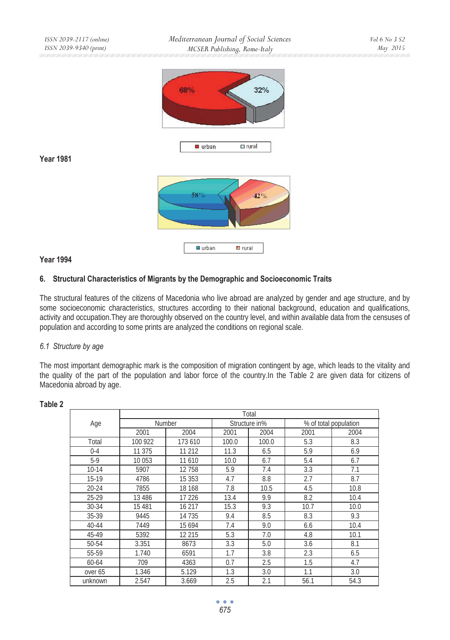

### **Year 1981**

# 58% 42% **■** urban  $\blacksquare$  rural

# **Year 1994**

# **6. Structural Characteristics of Migrants by the Demographic and Socioeconomic Traits**

The structural features of the citizens of Macedonia who live abroad are analyzed by gender and age structure, and by some socioeconomic characteristics, structures according to their national background, education and qualifications, activity and occupation.They are thoroughly observed on the country level, and within available data from the censuses of population and according to some prints are analyzed the conditions on regional scale.

### *6.1 Structure by age*

The most important demographic mark is the composition of migration contingent by age, which leads to the vitality and the quality of the part of the population and labor force of the country.In the Table 2 are given data for citizens of Macedonia abroad by age.

|           | Total    |               |       |               |                       |      |  |  |  |  |  |  |
|-----------|----------|---------------|-------|---------------|-----------------------|------|--|--|--|--|--|--|
| Age       |          | <b>Number</b> |       | Structure in% | % of total population |      |  |  |  |  |  |  |
|           | 2001     | 2004          | 2001  | 2004          | 2001                  | 2004 |  |  |  |  |  |  |
| Total     | 100 922  | 173 610       | 100.0 | 100.0         | 5.3                   | 8.3  |  |  |  |  |  |  |
| $0 - 4$   | 11 375   | 11 212        | 11.3  | 6.5           | 5.9                   | 6.9  |  |  |  |  |  |  |
| $5-9$     | 10 053   | 11 610        | 10.0  | 6.7           | 5.4                   | 6.7  |  |  |  |  |  |  |
| $10-14$   | 5907     | 12758         | 5.9   | 7.4           | 3.3                   | 7.1  |  |  |  |  |  |  |
| 15-19     | 4786     | 15 3 5 3      | 4.7   | 8.8           | 2.7                   | 8.7  |  |  |  |  |  |  |
| $20 - 24$ | 7855     | 18 168        | 7.8   | 10.5          | 4.5                   | 10.8 |  |  |  |  |  |  |
| 25-29     | 13 4 8 6 | 17 226        | 13.4  | 9.9           | 8.2                   | 10.4 |  |  |  |  |  |  |
| 30-34     | 15 481   | 16 217        | 15.3  | 9.3           | 10.7                  | 10.0 |  |  |  |  |  |  |
| 35-39     | 9445     | 14 7 35       | 9.4   | 8.5           | 8.3                   | 9.3  |  |  |  |  |  |  |
| 40-44     | 7449     | 15 6 94       | 7.4   | 9.0           | 6.6                   | 10.4 |  |  |  |  |  |  |
| 45-49     | 5392     | 12 215        | 5.3   | 7.0           | 4.8                   | 10.1 |  |  |  |  |  |  |
| 50-54     | 3.351    | 8673          | 3.3   | 5.0           | 3.6                   | 8.1  |  |  |  |  |  |  |
| 55-59     | 1.740    | 6591          | 1.7   | 3.8           | 2.3                   | 6.5  |  |  |  |  |  |  |
| 60-64     | 709      | 4363          | 0.7   | 2.5           | 1.5                   | 4.7  |  |  |  |  |  |  |
| over 65   | 1.346    | 5.129         | 1.3   | 3.0           | 1.1                   | 3.0  |  |  |  |  |  |  |
| unknown   | 2.547    | 3.669         | 2.5   | 2.1           | 56.1                  | 54.3 |  |  |  |  |  |  |

# **Table 2**

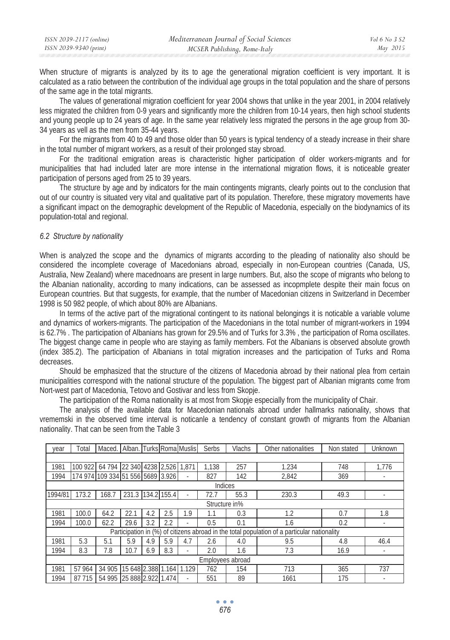| ISSN 2039-2117 (online) | Mediterranean Journal of Social Sciences | Vol 6 No 3 S2 |
|-------------------------|------------------------------------------|---------------|
| ISSN 2039-9340 (print)  | MCSER Publishing, Rome-Italy             | May 2015      |

When structure of migrants is analyzed by its to age the generational migration coefficient is very important. It is calculated as a ratio between the contribution of the individual age groups in the total population and the share of persons of the same age in the total migrants.

The values of generational migration coefficient for year 2004 shows that unlike in the year 2001, in 2004 relatively less migrated the children from 0-9 years and significantly more the children from 10-14 years, then high school students and young people up to 24 years of age. In the same year relatively less migrated the persons in the age group from 30- 34 years as vell as the men from 35-44 years.

For the migrants from 40 to 49 and those older than 50 years is typical tendency of a steady increase in their share in the total number of migrant workers, as a result of their prolonged stay sbroad.

For the traditional emigration areas is characteristic higher participation of older workers-migrants and for municipalities that had included later are more intense in the international migration flows, it is noticeable greater participation of persons aged from 25 to 39 years.

The structure by age and by indicators for the main contingents migrants, clearly points out to the conclusion that out of our country is situated very vital and qualitative part of its population. Therefore, these migratory movements have a significant impact on the demographic development of the Republic of Macedonia, especially on the biodynamics of its population-total and regional.

### *6.2 Structure by nationality*

When is analyzed the scope and the dynamics of migrants according to the pleading of nationality also should be considered the incomplete coverage of Macedonians abroad, especially in non-European countries (Canada, US, Australia, New Zealand) where macednoans are present in large numbers. But, also the scope of migrants who belong to the Albanian nationality, according to many indications, can be assessed as incopmplete despite their main focus on European countries. But that suggests, for example, that the number of Macedonian citizens in Switzerland in December 1998 is 50 982 people, of which about 80% are Albanians.

In terms of the active part of the migrational contingent to its national belongings it is noticable a variable volume and dynamics of workers-migrants. The participation of the Macedonians in the total number of migrant-workers in 1994 is 62.7% . The participation of Albanians has grown for 29.5% and of Turks for 3.3% , the participation of Roma oscillates. The biggest change came in people who are staying as family members. Fot the Albanians is observed absolute growth (index 385.2). The participation of Albanians in total migration increases and the participation of Turks and Roma decreases.

Should be emphasized that the structure of the citizens of Macedonia abroad by their national plea from certain municipalities correspond with the national structure of the population. The biggest part of Albanian migrants come from Nort-west part of Macedonia, Tetovo and Gostivar and less from Skopje.

The participation of the Roma nationality is at most from Skopje especially from the municipality of Chair.

The analysis of the available data for Macedonian nationals abroad under hallmarks nationality, shows that vrememski in the observed time interval is noticanle a tendency of constant growth of migrants from the Albanian nationality. That can be seen from the Table 3

| vear             | Total   | Maced. Alban. Turks Roma Muslis   |                          |     |     |                          | Serbs         | Vlachs | Other nationalities                                                                         | Non stated | Unknown |
|------------------|---------|-----------------------------------|--------------------------|-----|-----|--------------------------|---------------|--------|---------------------------------------------------------------------------------------------|------------|---------|
|                  |         |                                   |                          |     |     |                          |               |        |                                                                                             |            |         |
| 1981             | 100 922 | 64 794 22 340 4238 2.526 1.871    |                          |     |     |                          | 1.138         | 257    | 1.234                                                                                       | 748        | 1.776   |
| 1994             |         | 174 974 109 334 51 556 5689 3.926 |                          |     |     |                          | 827           | 142    | 2.842                                                                                       | 369        |         |
| Indices          |         |                                   |                          |     |     |                          |               |        |                                                                                             |            |         |
| 1994/81          | 173.2   | 168.7                             | 231.3 134.2 155.4        |     |     |                          | 72.7          | 55.3   | 230.3                                                                                       | 49.3       |         |
|                  |         |                                   |                          |     |     |                          | Structure in% |        |                                                                                             |            |         |
| 1981             | 100.0   | 64.2                              | 22.1                     | 4.2 | 2.5 | 1.9                      | 1.1           | 0.3    | 1.2                                                                                         | 0.7        | 1.8     |
| 1994             | 100.0   | 62.2                              | 29.6                     | 3.2 | 2.2 |                          | 0.5           | 0.1    | 1.6                                                                                         | 0.2        |         |
|                  |         |                                   |                          |     |     |                          |               |        | Participation in (%) of citizens abroad in the total population of a particular nationality |            |         |
| 1981             | 5.3     | 5.1                               | 5.9                      | 4.9 | 5.9 | 4.7                      | 2.6           | 4.0    | 9.5                                                                                         | 4.8        | 46.4    |
| 1994             | 8.3     | 7.8                               | 10.7                     | 6.9 | 8.3 |                          | 2.0           | 1.6    | 7.3                                                                                         | 16.9       |         |
| Employees abroad |         |                                   |                          |     |     |                          |               |        |                                                                                             |            |         |
| 1981             | 57 964  | 34 905                            | 15 648 2.388 1.164 1.129 |     |     |                          | 762           | 154    | 713                                                                                         | 365        | 737     |
| 1994             | 87 715  | 54 995 25 888 2.922 1.474         |                          |     |     | $\overline{\phantom{a}}$ | 551           | 89     | 1661                                                                                        | 175        |         |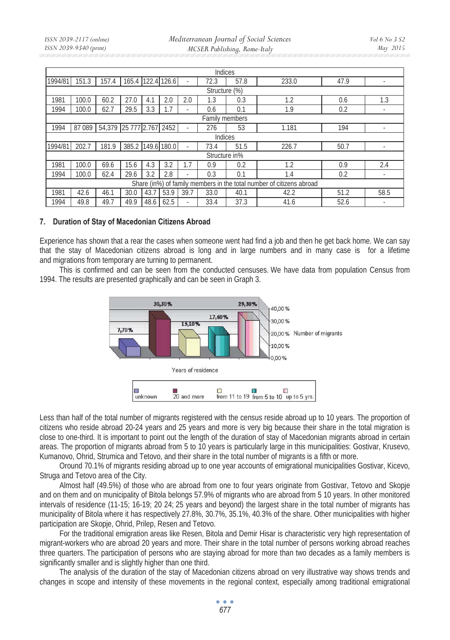*Mediterranean Journal of Social Sciences MCSER Publishing, Rome-Italy* 

|                                                                      | Indices       |                          |                   |      |             |      |                |      |       |      |      |
|----------------------------------------------------------------------|---------------|--------------------------|-------------------|------|-------------|------|----------------|------|-------|------|------|
| 1994/81                                                              | 151.3         | 157.4                    | 165.4 122.4 126.6 |      |             |      | 72.3           | 57.8 | 233.0 | 47.9 |      |
|                                                                      | Structure (%) |                          |                   |      |             |      |                |      |       |      |      |
| 1981                                                                 | 100.0         | 60.2                     | 27.0              | 4.1  | 2.0         | 2.0  | 1.3            | 0.3  | 1.2   | 0.6  | 1.3  |
| 1994                                                                 | 100.0         | 62.7                     | 29.5              | 3.3  | 1.7         |      | 0.6            | 0.1  | 1.9   | 0.2  |      |
|                                                                      |               |                          |                   |      |             |      | Family members |      |       |      |      |
| 1994                                                                 | 87 089        | 54,379 25 777 2.767 2452 |                   |      |             |      | 276            | 53   | 1.181 | 194  |      |
|                                                                      |               |                          |                   |      |             |      | Indices        |      |       |      |      |
| 1994/81                                                              | 202.7         | 181.9                    | 385.2             |      | 149.6 180.0 |      | 73.4           | 51.5 | 226.7 | 50.7 |      |
|                                                                      |               |                          |                   |      |             |      | Structure in%  |      |       |      |      |
| 1981                                                                 | 100.0         | 69.6                     | 15.6              | 4.3  | 3.2         | 1.7  | 0.9            | 0.2  | 1.2   | 0.9  | 2.4  |
| 1994                                                                 | 100.0         | 62.4                     | 29.6              | 3.2  | 2.8         |      | 0.3            | 0.1  | 1.4   | 0.2  |      |
| Share (in%) of family members in the total number of citizens abroad |               |                          |                   |      |             |      |                |      |       |      |      |
| 1981                                                                 | 42.6          | 46.1                     | 30.0              | 43.7 | 53.9        | 39.7 | 33.0           | 40.1 | 42.2  | 51.2 | 58.5 |
| 1994                                                                 | 49.8          | 49.7                     | 49.9              | 48.6 | 62.5        |      | 33.4           | 37.3 | 41.6  | 52.6 |      |

### **7. Duration of Stay of Macedonian Citizens Abroad**

Experience has shown that a rear the cases when someone went had find a job and then he get back home. We can say that the stay of Macedonian citizens abroad is long and in large numbers and in many case is for a lifetime and migrations from temporary are turning to permanent.

This is confirmed and can be seen from the conducted censuses. We have data from population Census from 1994. The results are presented graphically and can be seen in Graph 3.



Less than half of the total number of migrants registered with the census reside abroad up to 10 years. The proportion of citizens who reside abroad 20-24 years and 25 years and more is very big because their share in the total migration is close to one-third. It is important to point out the length of the duration of stay of Macedonian migrants abroad in certain areas. The proportion of migrants abroad from 5 to 10 years is particularly large in this municipalities: Gostivar, Krusevo, Kumanovo, Ohrid, Strumica and Tetovo, and their share in the total number of migrants is a fifth or more.

Oround 70.1% of migrants residing abroad up to one year accounts of emigrational municipalities Gostivar, Kicevo, Struga and Tetovo area of the City.

Almost half (49.5%) of those who are abroad from one to four years originate from Gostivar, Tetovo and Skopje and on them and on municipality of Bitola belongs 57.9% of migrants who are abroad from 5 10 years. In other monitored intervals of residence (11-15; 16-19; 20 24; 25 years and beyond) the largest share in the total number of migrants has municipality of Bitola where it has respectively 27.8%, 30.7%, 35.1%, 40.3% of the share. Other municipalities with higher participation are Skopje, Ohrid, Prilep, Resen and Tetovo.

For the traditional emigration areas like Resen, Bitola and Demir Hisar is characteristic very high representation of migrant-workers who are abroad 20 years and more. Their share in the total number of persons working abroad reaches three quarters. The participation of persons who are staying abroad for more than two decades as a family members is significantly smaller and is slightly higher than one third.

The analysis of the duration of the stay of Macedonian citizens abroad on very illustrative way shows trends and changes in scope and intensity of these movements in the regional context, especially among traditional emigrational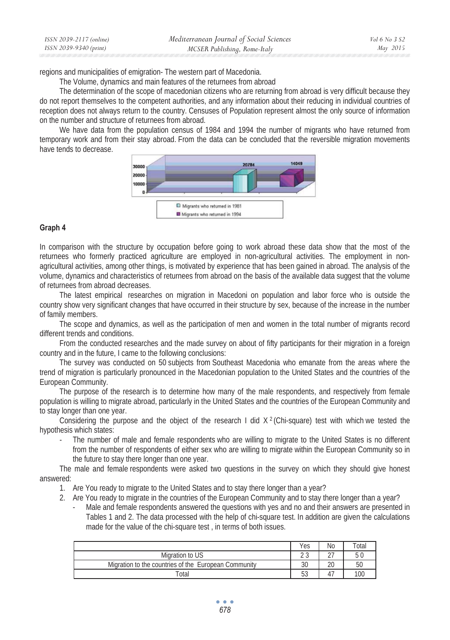| ISSN 2039-2117 (online) | Mediterranean Journal of Social Sciences | Vol 6 No 3 S2 |
|-------------------------|------------------------------------------|---------------|
| ISSN 2039-9340 (print)  | MCSER Publishing, Rome-Italy             | May 2015      |

regions and municipalities of emigration- The western part of Macedonia.

The Volume, dynamics and main features of the returnees from abroad

The determination of the scope of macedonian citizens who are returning from abroad is very difficult because they do not report themselves to the competent authorities, and any information about their reducing in individual countries of reception does not always return to the country. Censuses of Population represent almost the only source of information on the number and structure of returnees from abroad.

We have data from the population census of 1984 and 1994 the number of migrants who have returned from temporary work and from their stay abroad. From the data can be concluded that the reversible migration movements have tends to decrease.



### **Graph 4**

In comparison with the structure by occupation before going to work abroad these data show that the most of the returnees who formerly practiced agriculture are employed in non-agricultural activities. The employment in nonagricultural activities, among other things, is motivated by experience that has been gained in abroad. The analysis of the volume, dynamics and characteristics of returnees from abroad on the basis of the available data suggest that the volume of returnees from abroad decreases.

The latest empirical researches on migration in Macedoni on population and labor force who is outside the country show very significant changes that have occurred in their structure by sex, because of the increase in the number of family members.

The scope and dynamics, as well as the participation of men and women in the total number of migrants record different trends and conditions.

From the conducted researches and the made survey on about of fifty participants for their migration in a foreign country and in the future, I came to the following conclusions:

The survey was conducted on 50 subjects from Southeast Macedonia who emanate from the areas where the trend of migration is particularly pronounced in the Macedonian population to the United States and the countries of the European Community.

The purpose of the research is to determine how many of the male respondents, and respectively from female population is willing to migrate abroad, particularly in the United States and the countries of the European Community and to stay longer than one year.

Considering the purpose and the object of the research I did  $X<sup>2</sup>$  (Chi-square) test with which we tested the hypothesis which states:

The number of male and female respondents who are willing to migrate to the United States is no different from the number of respondents of either sex who are willing to migrate within the European Community so in the future to stay there longer than one year.

The male and female respondents were asked two questions in the survey on which they should give honest answered:

- 1. Are You ready to migrate to the United States and to stay there longer than a year?
- 2. Are You ready to migrate in the countries of the European Community and to stay there longer than a year?
	- Male and female respondents answered the questions with yes and no and their answers are presented in Tables 1 and 2. The data processed with the help of chi-square test. In addition are given the calculations made for the value of the chi-square test , in terms of both issues.

|                                                      | Yes           | No                       | $\tau$ otal |
|------------------------------------------------------|---------------|--------------------------|-------------|
| Migration to US                                      | $\sim$ $\sim$ | $\sim$ $-$               | 5(          |
| Migration to the countries of the European Community | 30            | 20                       | 50          |
| Total                                                | 53<br>JJ      | $\overline{\phantom{0}}$ | 100         |